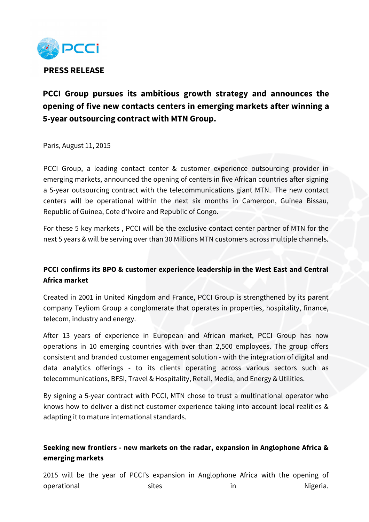

# **PCCI Group pursues its ambitious growth strategy and announces the opening of five new contacts centers in emerging markets after winning a 5-year outsourcing contract with MTN Group.**

Paris, August 11, 2015

PCCI Group, a leading contact center & customer experience outsourcing provider in emerging markets, announced the opening of centers in five African countries after signing a 5-year outsourcing contract with the telecommunications giant MTN. The new contact centers will be operational within the next six months in Cameroon, Guinea Bissau, Republic of Guinea, Cote d'Ivoire and Republic of Congo.

For these 5 key markets , PCCI will be the exclusive contact center partner of MTN for the next 5 years & will be serving over than 30 Millions MTN customers across multiple channels.

## **PCCI confirms its BPO & customer experience leadership in the West East and Central Africa market**

Created in 2001 in United Kingdom and France, PCCI Group is strengthened by its parent company Teyliom Group a conglomerate that operates in properties, hospitality, finance, telecom, industry and energy.

After 13 years of experience in European and African market, PCCI Group has now operations in 10 emerging countries with over than 2,500 employees. The group offers consistent and branded customer engagement solution - with the integration of digital and data analytics offerings - to its clients operating across various sectors such as telecommunications, BFSI, Travel & Hospitality, Retail, Media, and Energy & Utilities.

By signing a 5-year contract with PCCI, MTN chose to trust a multinational operator who knows how to deliver a distinct customer experience taking into account local realities & adapting it to mature international standards.

## **Seeking new frontiers - new markets on the radar, expansion in Anglophone Africa & emerging markets**

2015 will be the year of PCCI's expansion in Anglophone Africa with the opening of operational in Sites in Sites in Nigeria.